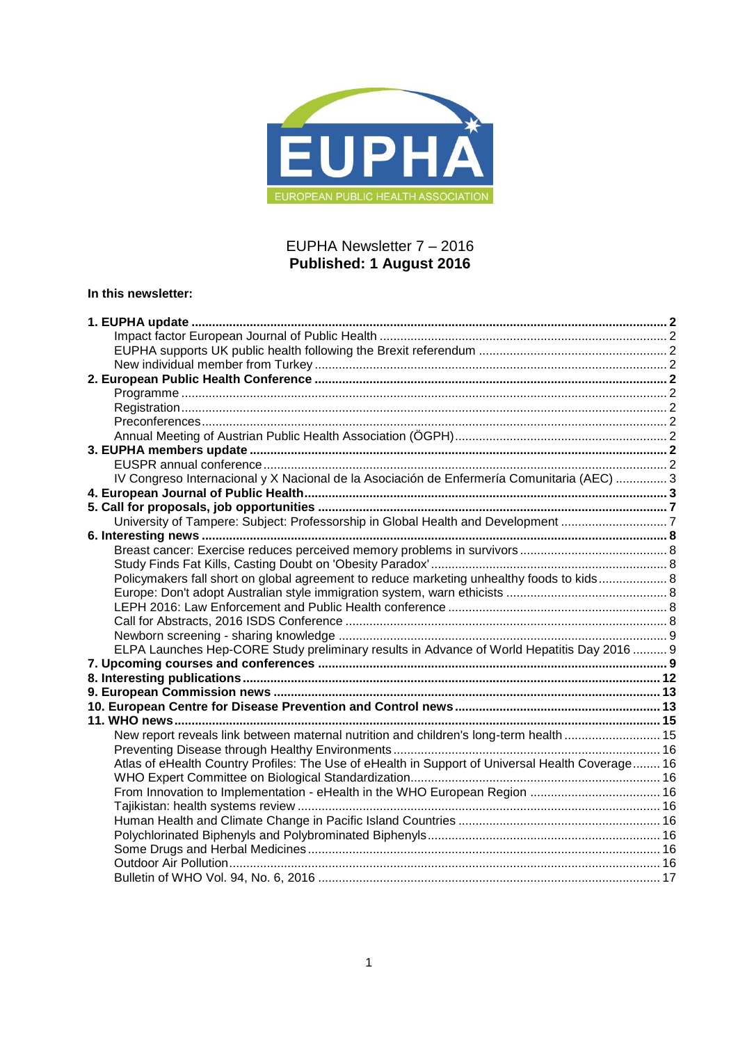

## EUPHA Newsletter 7 – 2016 **Published: 1 August 2016**

## **In this newsletter:**

| IV Congreso Internacional y X Nacional de la Asociación de Enfermería Comunitaria (AEC)  3       |  |
|--------------------------------------------------------------------------------------------------|--|
|                                                                                                  |  |
|                                                                                                  |  |
| University of Tampere: Subject: Professorship in Global Health and Development 7                 |  |
|                                                                                                  |  |
|                                                                                                  |  |
|                                                                                                  |  |
| Policymakers fall short on global agreement to reduce marketing unhealthy foods to kids 8        |  |
|                                                                                                  |  |
|                                                                                                  |  |
|                                                                                                  |  |
|                                                                                                  |  |
| ELPA Launches Hep-CORE Study preliminary results in Advance of World Hepatitis Day 2016  9       |  |
|                                                                                                  |  |
|                                                                                                  |  |
|                                                                                                  |  |
|                                                                                                  |  |
|                                                                                                  |  |
| New report reveals link between maternal nutrition and children's long-term health  15           |  |
|                                                                                                  |  |
| Atlas of eHealth Country Profiles: The Use of eHealth in Support of Universal Health Coverage 16 |  |
|                                                                                                  |  |
| From Innovation to Implementation - eHealth in the WHO European Region  16                       |  |
|                                                                                                  |  |
|                                                                                                  |  |
|                                                                                                  |  |
|                                                                                                  |  |
|                                                                                                  |  |
|                                                                                                  |  |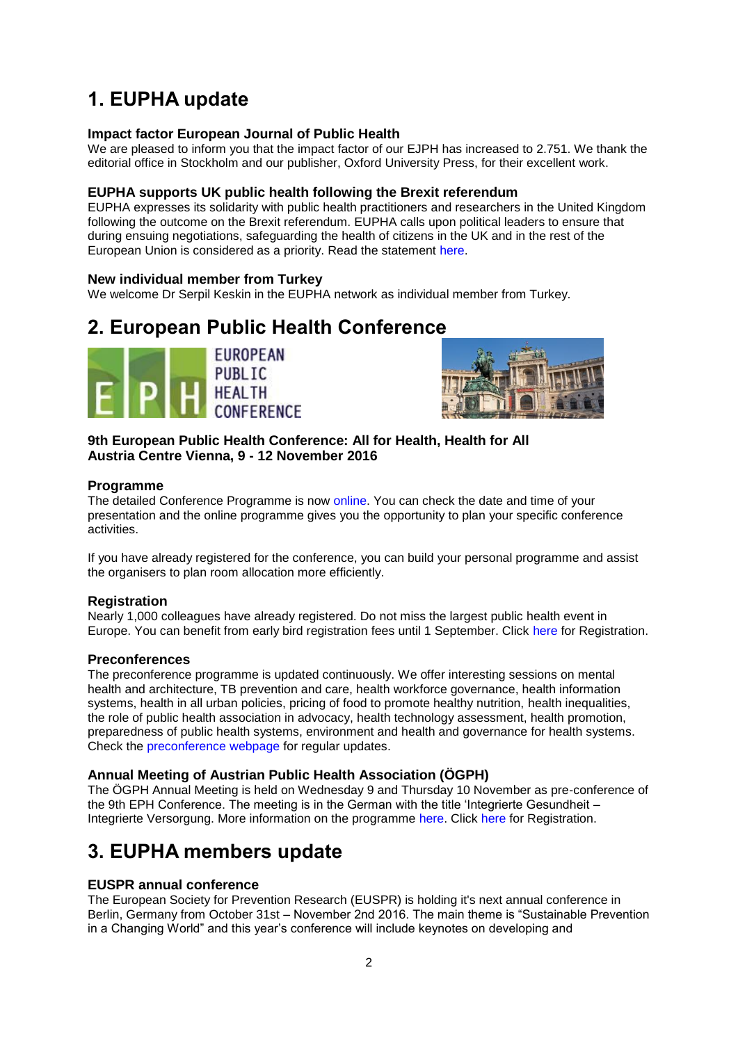# <span id="page-1-0"></span>**1. EUPHA update**

## <span id="page-1-1"></span>**Impact factor European Journal of Public Health**

We are pleased to inform you that the impact factor of our EJPH has increased to 2.751. We thank the editorial office in Stockholm and our publisher, Oxford University Press, for their excellent work.

## <span id="page-1-2"></span>**EUPHA supports UK public health following the Brexit referendum**

EUPHA expresses its solidarity with public health practitioners and researchers in the United Kingdom following the outcome on the Brexit referendum. EUPHA calls upon political leaders to ensure that during ensuing negotiations, safeguarding the health of citizens in the UK and in the rest of the European Union is considered as a priority. Read the statement [here.](https://eupha.org/advocacy-by-eupha)

## <span id="page-1-3"></span>**New individual member from Turkey**

We welcome Dr Serpil Keskin in the EUPHA network as individual member from Turkey.

## <span id="page-1-4"></span>**2. European Public Health Conference**





**9th European Public Health Conference: All for Health, Health for All Austria Centre Vienna, 9 - 12 November 2016**

## <span id="page-1-5"></span>**Programme**

The detailed Conference Programme is now [online.](https://ephconference.eu/programme/dynamic_programme.php) You can check the date and time of your presentation and the online programme gives you the opportunity to plan your specific conference activities.

If you have already registered for the conference, you can build your personal programme and assist the organisers to plan room allocation more efficiently.

## <span id="page-1-6"></span>**Registration**

Nearly 1,000 colleagues have already registered. Do not miss the largest public health event in Europe. You can benefit from early bird registration fees until 1 September. Click [here](https://ephconference.eu/registration-fees-and-information-20) for Registration.

## <span id="page-1-7"></span>**Preconferences**

The preconference programme is updated continuously. We offer interesting sessions on mental health and architecture, TB prevention and care, health workforce governance, health information systems, health in all urban policies, pricing of food to promote healthy nutrition, health inequalities, the role of public health association in advocacy, health technology assessment, health promotion, preparedness of public health systems, environment and health and governance for health systems. Check the [preconference webpage](https://ephconference.eu/2016-pre-conference-programme-235) for regular updates.

## <span id="page-1-8"></span>**Annual Meeting of Austrian Public Health Association (ÖGPH)**

The ÖGPH Annual Meeting is held on Wednesday 9 and Thursday 10 November as pre-conference of the 9th EPH Conference. The meeting is in the German with the title 'Integrierte Gesundheit -Integrierte Versorgung. More information on the programme [here.](https://ephconference.eu/2016-pre-conference-programme-264) Click [here](https://ephconference.eu/registration-fees-and-information-20) for Registration.

## <span id="page-1-9"></span>**3. EUPHA members update**

## <span id="page-1-10"></span>**EUSPR annual conference**

The European Society for Prevention Research (EUSPR) is holding it's next annual conference in Berlin, Germany from October 31st – November 2nd 2016. The main theme is "Sustainable Prevention in a Changing World" and this year's conference will include keynotes on developing and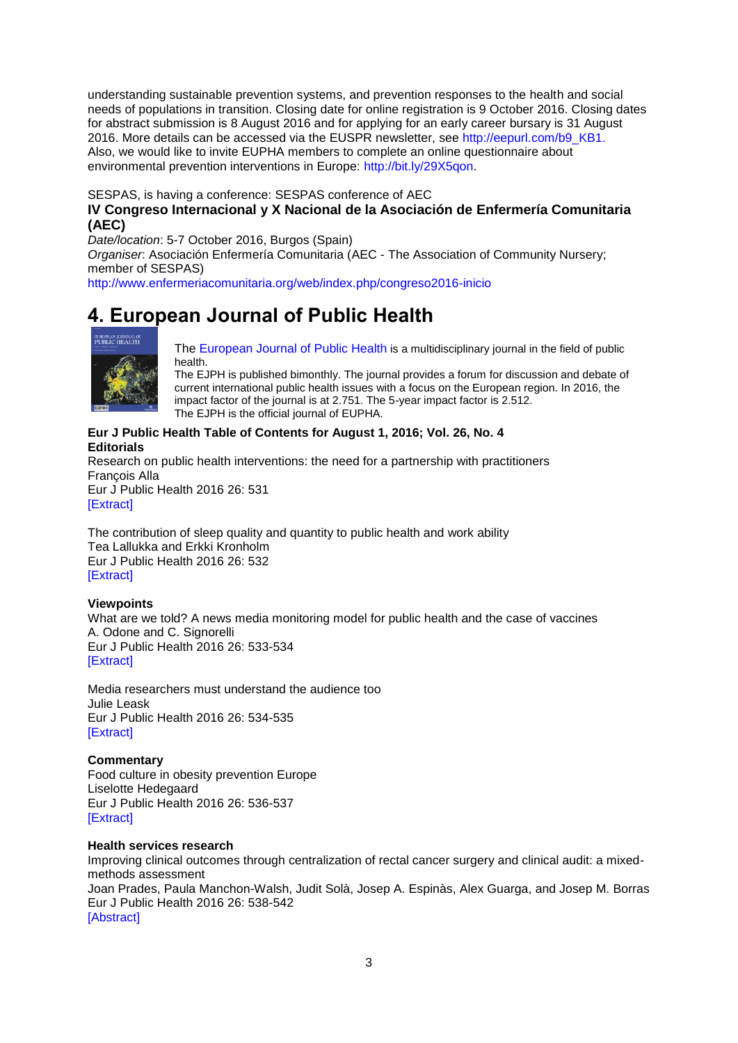understanding sustainable prevention systems, and prevention responses to the health and social needs of populations in transition. Closing date for online registration is 9 October 2016. Closing dates for abstract submission is 8 August 2016 and for applying for an early career bursary is 31 August 2016. More details can be accessed via the EUSPR newsletter, see [http://eepurl.com/b9\\_KB1.](http://eepurl.com/b9_KB1) Also, we would like to invite EUPHA members to complete an online questionnaire about environmental prevention interventions in Europe: [http://bit.ly/29X5qon.](http://bit.ly/29X5qon)

SESPAS, is having a conference: SESPAS conference of AEC

## <span id="page-2-0"></span>**IV Congreso Internacional y X Nacional de la Asociación de Enfermería Comunitaria (AEC)**

*Date/location*: 5-7 October 2016, Burgos (Spain)

*Organiser*: Asociación Enfermería Comunitaria (AEC - The Association of Community Nursery; member of SESPAS) [http://www.enfermeriacomunitaria.org/web/index.php/congreso2016-inicio](http://bit.ly/ChapmanCourse)

## <span id="page-2-1"></span>**4. European Journal of Public Health**



[The European Journal of Public Health](http://eurpub.oxfordjournals.org/) is a multidisciplinary journal in the field of public health.

The EJPH is published bimonthly. The journal provides a forum for discussion and debate of current international public health issues with a focus on the European region. In 2016, the impact factor of the journal is at 2.751. The 5-year impact factor is 2.512. The EJPH is the official journal of EUPHA.

#### **Eur J Public Health Table of Contents for August 1, 2016; Vol. 26, No. 4 Editorials**

Research on public health interventions: the need for a partnership with practitioners François Alla Eur J Public Health 2016 26: 531 [\[Extract\]](http://eurpub.oxfordjournals.org/content/26/4/531.extract?etoc)

The contribution of sleep quality and quantity to public health and work ability Tea Lallukka and Erkki Kronholm Eur J Public Health 2016 26: 532 [\[Extract\]](http://eurpub.oxfordjournals.org/content/26/4/532.extract?etoc)

## **Viewpoints**

What are we told? A news media monitoring model for public health and the case of vaccines A. Odone and C. Signorelli Eur J Public Health 2016 26: 533-534 [\[Extract\]](http://eurpub.oxfordjournals.org/content/26/4/533.extract?etoc)

Media researchers must understand the audience too Julie Leask Eur J Public Health 2016 26: 534-535 [\[Extract\]](http://eurpub.oxfordjournals.org/content/26/4/534.extract?etoc)

## **Commentary**

Food culture in obesity prevention Europe Liselotte Hedegaard Eur J Public Health 2016 26: 536-537 [\[Extract\]](http://eurpub.oxfordjournals.org/content/26/4/536.extract?etoc)

## **Health services research**

Improving clinical outcomes through centralization of rectal cancer surgery and clinical audit: a mixedmethods assessment Joan Prades, Paula Manchon-Walsh, Judit Solà, Josep A. Espinàs, Alex Guarga, and Josep M. Borras Eur J Public Health 2016 26: 538-542 [\[Abstract\]](http://eurpub.oxfordjournals.org/content/26/4/538.abstract?etoc)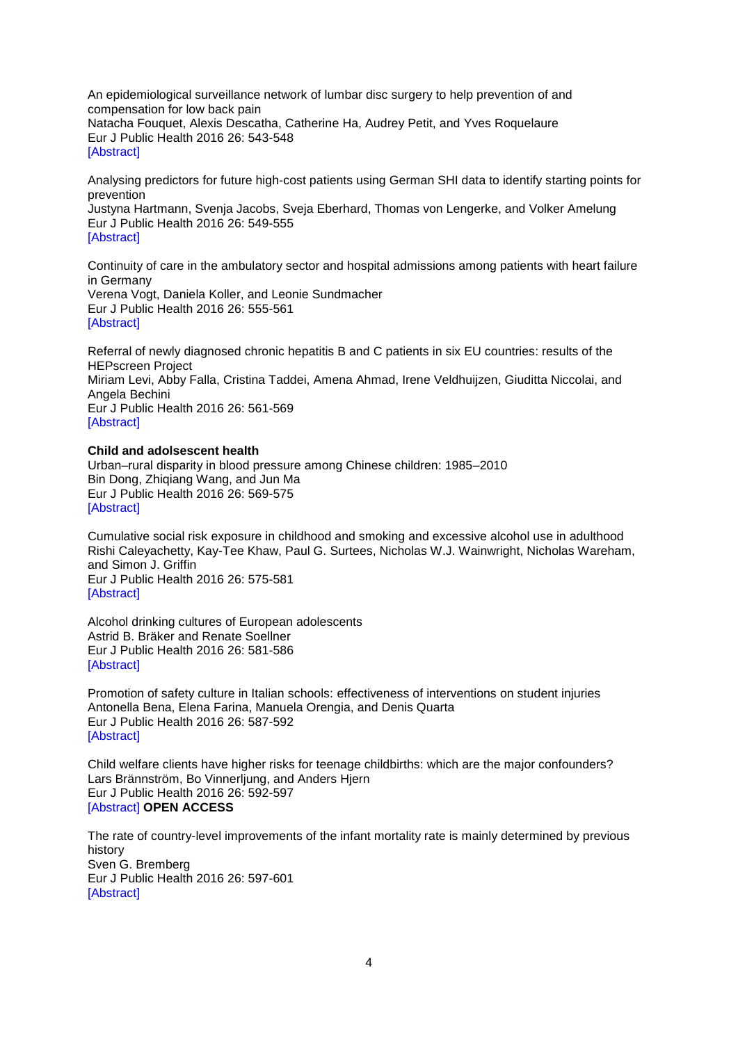An epidemiological surveillance network of lumbar disc surgery to help prevention of and compensation for low back pain Natacha Fouquet, Alexis Descatha, Catherine Ha, Audrey Petit, and Yves Roquelaure Eur J Public Health 2016 26: 543-548 **[\[Abstract\]](http://eurpub.oxfordjournals.org/content/26/4/543.abstract?etoc)** 

Analysing predictors for future high-cost patients using German SHI data to identify starting points for prevention

Justyna Hartmann, Svenja Jacobs, Sveja Eberhard, Thomas von Lengerke, and Volker Amelung Eur J Public Health 2016 26: 549-555 [\[Abstract\]](http://eurpub.oxfordjournals.org/content/26/4/549.abstract?etoc)

Continuity of care in the ambulatory sector and hospital admissions among patients with heart failure in Germany Verena Vogt, Daniela Koller, and Leonie Sundmacher

Eur J Public Health 2016 26: 555-561 [\[Abstract\]](http://eurpub.oxfordjournals.org/content/26/4/555.abstract?etoc)

Referral of newly diagnosed chronic hepatitis B and C patients in six EU countries: results of the HEPscreen Project Miriam Levi, Abby Falla, Cristina Taddei, Amena Ahmad, Irene Veldhuijzen, Giuditta Niccolai, and Angela Bechini Eur J Public Health 2016 26: 561-569 [\[Abstract\]](http://eurpub.oxfordjournals.org/content/26/4/561.abstract?etoc)

### **Child and adolsescent health**

Urban–rural disparity in blood pressure among Chinese children: 1985–2010 Bin Dong, Zhiqiang Wang, and Jun Ma Eur J Public Health 2016 26: 569-575 [\[Abstract\]](http://eurpub.oxfordjournals.org/content/26/4/569.abstract?etoc)

Cumulative social risk exposure in childhood and smoking and excessive alcohol use in adulthood Rishi Caleyachetty, Kay-Tee Khaw, Paul G. Surtees, Nicholas W.J. Wainwright, Nicholas Wareham, and Simon J. Griffin Eur J Public Health 2016 26: 575-581 [\[Abstract\]](http://eurpub.oxfordjournals.org/content/26/4/575.abstract?etoc)

Alcohol drinking cultures of European adolescents Astrid B. Bräker and Renate Soellner Eur J Public Health 2016 26: 581-586 [\[Abstract\]](http://eurpub.oxfordjournals.org/content/26/4/581.abstract?etoc)

Promotion of safety culture in Italian schools: effectiveness of interventions on student injuries Antonella Bena, Elena Farina, Manuela Orengia, and Denis Quarta Eur J Public Health 2016 26: 587-592 [\[Abstract\]](http://eurpub.oxfordjournals.org/content/26/4/587.abstract?etoc)

Child welfare clients have higher risks for teenage childbirths: which are the major confounders? Lars Brännström, Bo Vinnerljung, and Anders Hjern Eur J Public Health 2016 26: 592-597 [\[Abstract\]](http://eurpub.oxfordjournals.org/content/26/4/592.abstract?etoc) **OPEN ACCESS**

The rate of country-level improvements of the infant mortality rate is mainly determined by previous history Sven G. Bremberg Eur J Public Health 2016 26: 597-601 [\[Abstract\]](http://eurpub.oxfordjournals.org/content/26/4/597.abstract?etoc)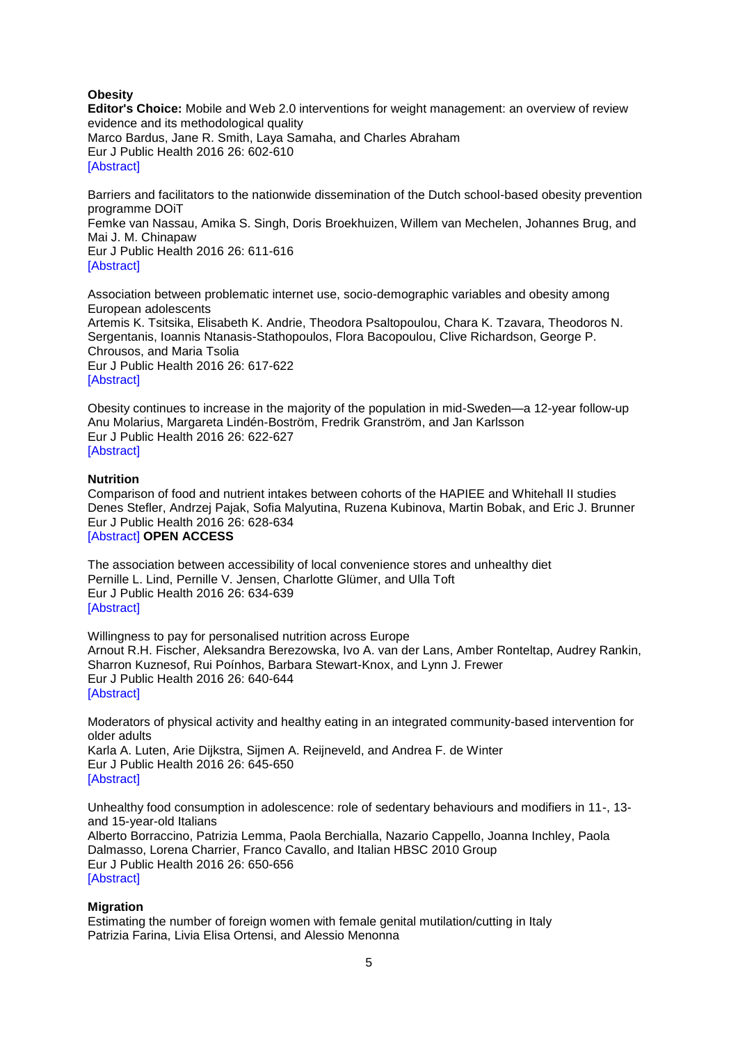### **Obesity**

**Editor's Choice:** Mobile and Web 2.0 interventions for weight management: an overview of review evidence and its methodological quality Marco Bardus, Jane R. Smith, Laya Samaha, and Charles Abraham Eur J Public Health 2016 26: 602-610 [\[Abstract\]](http://eurpub.oxfordjournals.org/content/26/4/602.abstract?etoc)

Barriers and facilitators to the nationwide dissemination of the Dutch school-based obesity prevention programme DOiT Femke van Nassau, Amika S. Singh, Doris Broekhuizen, Willem van Mechelen, Johannes Brug, and Mai J. M. Chinapaw Eur J Public Health 2016 26: 611-616 [\[Abstract\]](http://eurpub.oxfordjournals.org/content/26/4/611.abstract?etoc)

Association between problematic internet use, socio-demographic variables and obesity among European adolescents Artemis K. Tsitsika, Elisabeth K. Andrie, Theodora Psaltopoulou, Chara K. Tzavara, Theodoros N. Sergentanis, Ioannis Ntanasis-Stathopoulos, Flora Bacopoulou, Clive Richardson, George P. Chrousos, and Maria Tsolia Eur J Public Health 2016 26: 617-622 **[\[Abstract\]](http://eurpub.oxfordjournals.org/content/26/4/617.abstract?etoc)** 

Obesity continues to increase in the majority of the population in mid-Sweden—a 12-year follow-up Anu Molarius, Margareta Lindén-Boström, Fredrik Granström, and Jan Karlsson Eur J Public Health 2016 26: 622-627 [\[Abstract\]](http://eurpub.oxfordjournals.org/content/26/4/622.abstract?etoc)

#### **Nutrition**

Comparison of food and nutrient intakes between cohorts of the HAPIEE and Whitehall II studies Denes Stefler, Andrzej Pajak, Sofia Malyutina, Ruzena Kubinova, Martin Bobak, and Eric J. Brunner Eur J Public Health 2016 26: 628-634 [\[Abstract\]](http://eurpub.oxfordjournals.org/content/26/4/628.abstract?etoc) **OPEN ACCESS**

The association between accessibility of local convenience stores and unhealthy diet Pernille L. Lind, Pernille V. Jensen, Charlotte Glümer, and Ulla Toft Eur J Public Health 2016 26: 634-639 [\[Abstract\]](http://eurpub.oxfordjournals.org/content/26/4/634.abstract?etoc)

Willingness to pay for personalised nutrition across Europe Arnout R.H. Fischer, Aleksandra Berezowska, Ivo A. van der Lans, Amber Ronteltap, Audrey Rankin, Sharron Kuznesof, Rui Poínhos, Barbara Stewart-Knox, and Lynn J. Frewer Eur J Public Health 2016 26: 640-644 [\[Abstract\]](http://eurpub.oxfordjournals.org/content/26/4/640.abstract?etoc)

Moderators of physical activity and healthy eating in an integrated community-based intervention for older adults Karla A. Luten, Arie Dijkstra, Sijmen A. Reijneveld, and Andrea F. de Winter

Eur J Public Health 2016 26: 645-650 [\[Abstract\]](http://eurpub.oxfordjournals.org/content/26/4/645.abstract?etoc)

Unhealthy food consumption in adolescence: role of sedentary behaviours and modifiers in 11-, 13 and 15-year-old Italians Alberto Borraccino, Patrizia Lemma, Paola Berchialla, Nazario Cappello, Joanna Inchley, Paola Dalmasso, Lorena Charrier, Franco Cavallo, and Italian HBSC 2010 Group Eur J Public Health 2016 26: 650-656 [\[Abstract\]](http://eurpub.oxfordjournals.org/content/26/4/650.abstract?etoc)

#### **Migration**

Estimating the number of foreign women with female genital mutilation/cutting in Italy Patrizia Farina, Livia Elisa Ortensi, and Alessio Menonna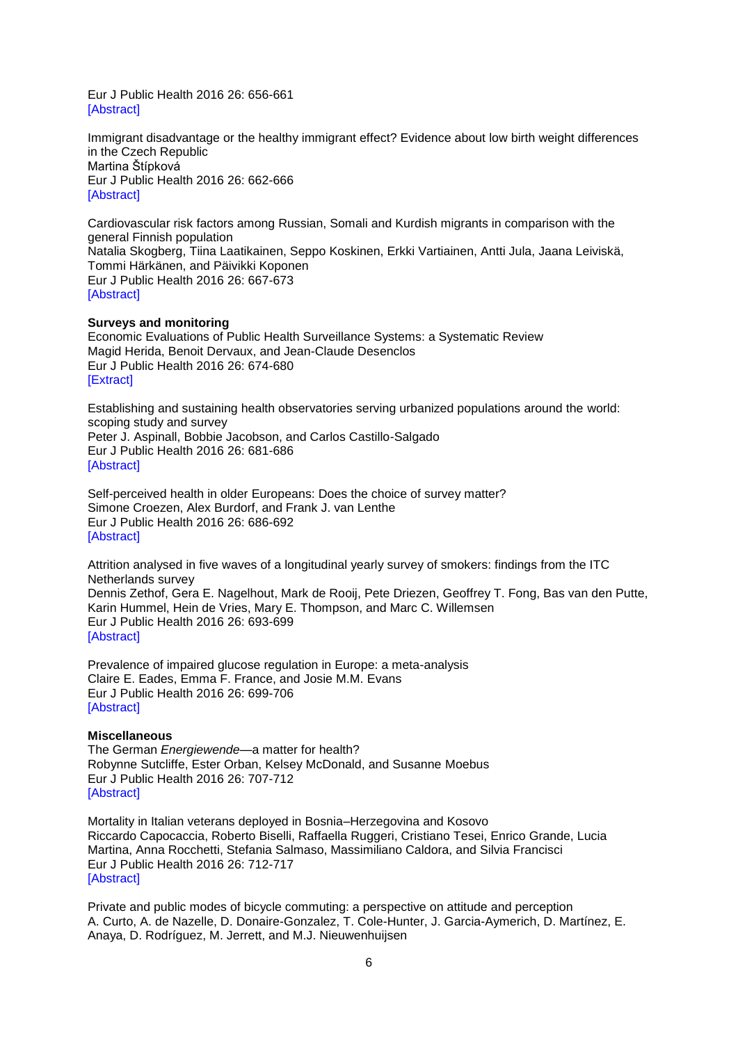Eur J Public Health 2016 26: 656-661 [\[Abstract\]](http://eurpub.oxfordjournals.org/content/26/4/656.abstract?etoc)

Immigrant disadvantage or the healthy immigrant effect? Evidence about low birth weight differences in the Czech Republic Martina Štípková Eur J Public Health 2016 26: 662-666 [\[Abstract\]](http://eurpub.oxfordjournals.org/content/26/4/662.abstract?etoc)

Cardiovascular risk factors among Russian, Somali and Kurdish migrants in comparison with the general Finnish population Natalia Skogberg, Tiina Laatikainen, Seppo Koskinen, Erkki Vartiainen, Antti Jula, Jaana Leiviskä, Tommi Härkänen, and Päivikki Koponen Eur J Public Health 2016 26: 667-673 [\[Abstract\]](http://eurpub.oxfordjournals.org/content/26/4/667.abstract?etoc)

#### **Surveys and monitoring**

Economic Evaluations of Public Health Surveillance Systems: a Systematic Review Magid Herida, Benoit Dervaux, and Jean-Claude Desenclos Eur J Public Health 2016 26: 674-680 [\[Extract\]](http://eurpub.oxfordjournals.org/content/26/4/674.extract?etoc)

Establishing and sustaining health observatories serving urbanized populations around the world: scoping study and survey Peter J. Aspinall, Bobbie Jacobson, and Carlos Castillo-Salgado Eur J Public Health 2016 26: 681-686 [\[Abstract\]](http://eurpub.oxfordjournals.org/content/26/4/681.abstract?etoc)

Self-perceived health in older Europeans: Does the choice of survey matter? Simone Croezen, Alex Burdorf, and Frank J. van Lenthe Eur J Public Health 2016 26: 686-692 [\[Abstract\]](http://eurpub.oxfordjournals.org/content/26/4/686.abstract?etoc)

Attrition analysed in five waves of a longitudinal yearly survey of smokers: findings from the ITC Netherlands survey Dennis Zethof, Gera E. Nagelhout, Mark de Rooij, Pete Driezen, Geoffrey T. Fong, Bas van den Putte, Karin Hummel, Hein de Vries, Mary E. Thompson, and Marc C. Willemsen Eur J Public Health 2016 26: 693-699 [\[Abstract\]](http://eurpub.oxfordjournals.org/content/26/4/693.abstract?etoc)

Prevalence of impaired glucose regulation in Europe: a meta-analysis Claire E. Eades, Emma F. France, and Josie M.M. Evans Eur J Public Health 2016 26: 699-706 [\[Abstract\]](http://eurpub.oxfordjournals.org/content/26/4/699.abstract?etoc)

#### **Miscellaneous**

The German *Energiewende*—a matter for health? Robynne Sutcliffe, Ester Orban, Kelsey McDonald, and Susanne Moebus Eur J Public Health 2016 26: 707-712 [\[Abstract\]](http://eurpub.oxfordjournals.org/content/26/4/707.abstract?etoc)

Mortality in Italian veterans deployed in Bosnia–Herzegovina and Kosovo Riccardo Capocaccia, Roberto Biselli, Raffaella Ruggeri, Cristiano Tesei, Enrico Grande, Lucia Martina, Anna Rocchetti, Stefania Salmaso, Massimiliano Caldora, and Silvia Francisci Eur J Public Health 2016 26: 712-717 [\[Abstract\]](http://eurpub.oxfordjournals.org/content/26/4/712.abstract?etoc)

Private and public modes of bicycle commuting: a perspective on attitude and perception A. Curto, A. de Nazelle, D. Donaire-Gonzalez, T. Cole-Hunter, J. Garcia-Aymerich, D. Martínez, E. Anaya, D. Rodríguez, M. Jerrett, and M.J. Nieuwenhuijsen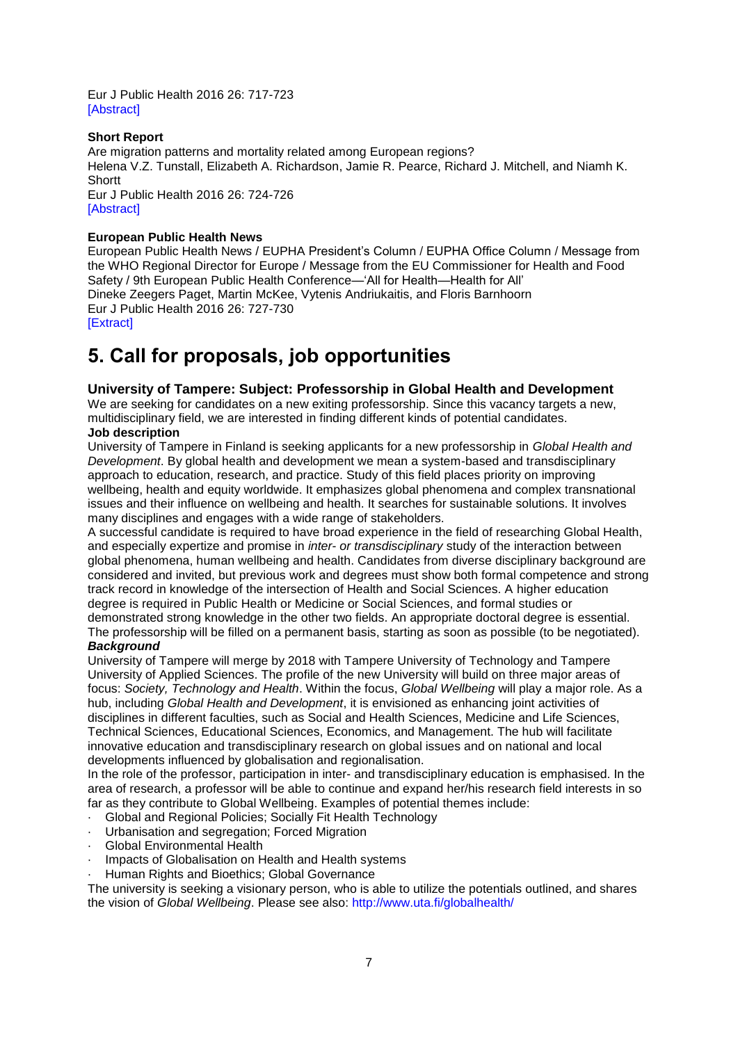Eur J Public Health 2016 26: 717-723 [\[Abstract\]](http://eurpub.oxfordjournals.org/content/26/4/717.abstract?etoc)

## **Short Report**

Are migration patterns and mortality related among European regions? Helena V.Z. Tunstall, Elizabeth A. Richardson, Jamie R. Pearce, Richard J. Mitchell, and Niamh K. **Shortt** Eur J Public Health 2016 26: 724-726 [\[Abstract\]](http://eurpub.oxfordjournals.org/content/26/4/724.abstract?etoc)

## **European Public Health News**

European Public Health News / EUPHA President's Column / EUPHA Office Column / Message from the WHO Regional Director for Europe / Message from the EU Commissioner for Health and Food Safety / 9th European Public Health Conference—'All for Health—Health for All' Dineke Zeegers Paget, Martin McKee, Vytenis Andriukaitis, and Floris Barnhoorn Eur J Public Health 2016 26: 727-730 [\[Extract\]](http://eurpub.oxfordjournals.org/content/26/4/727.extract?etoc)

## <span id="page-6-0"></span>**5. Call for proposals, job opportunities**

### <span id="page-6-1"></span>**University of Tampere: Subject: Professorship in Global Health and Development**

We are seeking for candidates on a new exiting professorship. Since this vacancy targets a new, multidisciplinary field, we are interested in finding different kinds of potential candidates. **Job description**

University of Tampere in Finland is seeking applicants for a new professorship in *Global Health and Development*. By global health and development we mean a system-based and transdisciplinary approach to education, research, and practice. Study of this field places priority on improving wellbeing, health and equity worldwide. It emphasizes global phenomena and complex transnational issues and their influence on wellbeing and health. It searches for sustainable solutions. It involves many disciplines and engages with a wide range of stakeholders.

A successful candidate is required to have broad experience in the field of researching Global Health, and especially expertize and promise in *inter- or transdisciplinary* study of the interaction between global phenomena, human wellbeing and health. Candidates from diverse disciplinary background are considered and invited, but previous work and degrees must show both formal competence and strong track record in knowledge of the intersection of Health and Social Sciences. A higher education degree is required in Public Health or Medicine or Social Sciences, and formal studies or demonstrated strong knowledge in the other two fields. An appropriate doctoral degree is essential.

The professorship will be filled on a permanent basis, starting as soon as possible (to be negotiated). *Background*

University of Tampere will merge by 2018 with Tampere University of Technology and Tampere University of Applied Sciences. The profile of the new University will build on three major areas of focus: *Society, Technology and Health*. Within the focus, *Global Wellbeing* will play a major role. As a hub, including *Global Health and Development*, it is envisioned as enhancing joint activities of disciplines in different faculties, such as Social and Health Sciences, Medicine and Life Sciences, Technical Sciences, Educational Sciences, Economics, and Management. The hub will facilitate innovative education and transdisciplinary research on global issues and on national and local developments influenced by globalisation and regionalisation.

In the role of the professor, participation in inter- and transdisciplinary education is emphasised. In the area of research, a professor will be able to continue and expand her/his research field interests in so far as they contribute to Global Wellbeing. Examples of potential themes include:

- Global and Regional Policies; Socially Fit Health Technology
- Urbanisation and segregation; Forced Migration
- Global Environmental Health
- Impacts of Globalisation on Health and Health systems
- Human Rights and Bioethics; Global Governance

The university is seeking a visionary person, who is able to utilize the potentials outlined, and shares the vision of *Global Wellbeing*. Please see also:<http://www.uta.fi/globalhealth/>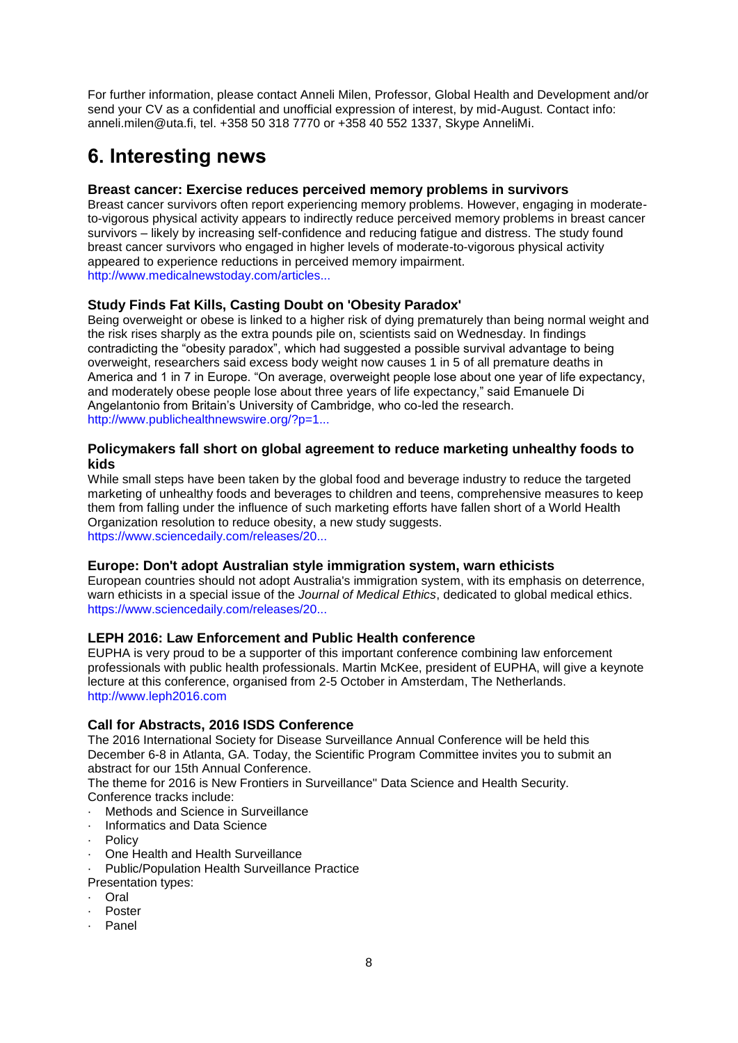For further information, please contact Anneli Milen, Professor, Global Health and Development and/or send your CV as a confidential and unofficial expression of interest, by mid-August. Contact info: anneli.milen@uta.fi, tel. +358 50 318 7770 or +358 40 552 1337, Skype AnneliMi.

# <span id="page-7-0"></span>**6. Interesting news**

## <span id="page-7-1"></span>**Breast cancer: Exercise reduces perceived memory problems in survivors**

Breast cancer survivors often report experiencing memory problems. However, engaging in moderateto-vigorous physical activity appears to indirectly reduce perceived memory problems in breast cancer survivors – likely by increasing self-confidence and reducing fatigue and distress. The study found breast cancer survivors who engaged in higher levels of moderate-to-vigorous physical activity appeared to experience reductions in perceived memory impairment. [http://www.medicalnewstoday.com/articles...](http://www.medicalnewstoday.com/articles/311532.php)

## <span id="page-7-2"></span>**Study Finds Fat Kills, Casting Doubt on 'Obesity Paradox'**

Being overweight or obese is linked to a higher risk of dying prematurely than being normal weight and the risk rises sharply as the extra pounds pile on, scientists said on Wednesday. In findings contradicting the "obesity paradox", which had suggested a possible survival advantage to being overweight, researchers said excess body weight now causes 1 in 5 of all premature deaths in America and 1 in 7 in Europe. "On average, overweight people lose about one year of life expectancy, and moderately obese people lose about three years of life expectancy," said Emanuele Di Angelantonio from Britain's University of Cambridge, who co-led the research. [http://www.publichealthnewswire.org/?p=1...](http://www.publichealthnewswire.org/?p=15667)

## <span id="page-7-3"></span>**Policymakers fall short on global agreement to reduce marketing unhealthy foods to kids**

While small steps have been taken by the global food and beverage industry to reduce the targeted marketing of unhealthy foods and beverages to children and teens, comprehensive measures to keep them from falling under the influence of such marketing efforts have fallen short of a World Health Organization resolution to reduce obesity, a new study suggests. [https://www.sciencedaily.com/releases/20...](http://www.sciencedaily.com/releases/2016/07/160705141431.htm?utm_source=feedburner&utm_medium=email&utm_campaign=Feed%3A+sciencedaily%2Fscience_society%2Fpublic_health+%28Public+Health+News+--+Scien)

## <span id="page-7-4"></span>**Europe: Don't adopt Australian style immigration system, warn ethicists**

European countries should not adopt Australia's immigration system, with its emphasis on deterrence, warn ethicists in a special issue of the *Journal of Medical Ethics*, dedicated to global medical ethics. [https://www.sciencedaily.com/releases/20...](https://www.sciencedaily.com/releases/2016/06/160627214245.htm?utm_source=feedburner&utm_medium=email&utm_campaign=Feed%3A+sciencedaily%2Fscience_society%2Fpublic_health+%28Public+Health+News+--+Scien)

## <span id="page-7-5"></span>**LEPH 2016: Law Enforcement and Public Health conference**

EUPHA is very proud to be a supporter of this important conference combining law enforcement professionals with public health professionals. Martin McKee, president of EUPHA, will give a keynote lecture at this conference, organised from 2-5 October in Amsterdam, The Netherlands. [http://www.leph2016.com](http://www.leph2016.com/)

## <span id="page-7-6"></span>**Call for Abstracts, 2016 ISDS Conference**

The 2016 International Society for Disease Surveillance Annual Conference will be held this December 6-8 in Atlanta, GA. Today, the Scientific Program Committee invites you to submit an abstract for our 15th Annual Conference.

The theme for 2016 is New Frontiers in Surveillance" Data Science and Health Security. Conference tracks include:

- · Methods and Science in Surveillance
- · Informatics and Data Science
- · Policy
- · One Health and Health Surveillance

Public/Population Health Surveillance Practice

- Presentation types:
- · Oral
- **Poster**
- **Panel**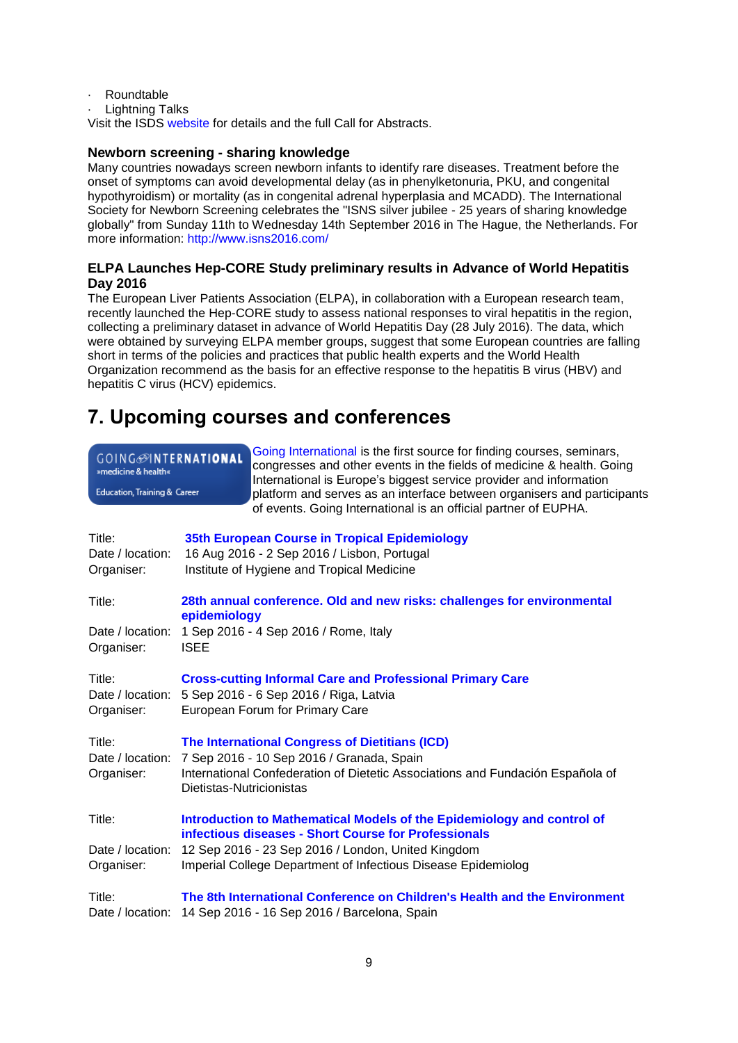- · Roundtable
- Lightning Talks

Visit the ISDS [website](http://www.syndromic.org/) for details and the full Call for Abstracts.

## <span id="page-8-0"></span>**Newborn screening - sharing knowledge**

Many countries nowadays screen newborn infants to identify rare diseases. Treatment before the onset of symptoms can avoid developmental delay (as in phenylketonuria, PKU, and congenital hypothyroidism) or mortality (as in congenital adrenal hyperplasia and MCADD). The International Society for Newborn Screening celebrates the "ISNS silver jubilee - 25 years of sharing knowledge globally" from Sunday 11th to Wednesday 14th September 2016 in The Hague, the Netherlands. For more information:<http://www.isns2016.com/>

## <span id="page-8-1"></span>**ELPA Launches Hep-CORE Study preliminary results in Advance of World Hepatitis Day 2016**

The European Liver Patients Association (ELPA), in collaboration with a European research team, recently launched the Hep-CORE study to assess national responses to viral hepatitis in the region, collecting a preliminary dataset in advance of World Hepatitis Day (28 July 2016). The data, which were obtained by surveying ELPA member groups, suggest that some European countries are falling short in terms of the policies and practices that public health experts and the World Health Organization recommend as the basis for an effective response to the hepatitis B virus (HBV) and hepatitis C virus (HCV) epidemics.

## <span id="page-8-2"></span>**7. Upcoming courses and conferences**

| GOING <b>MITERNATIONAL</b><br>»medicine & health«<br>Education, Training & Career | Going International is the first source for finding courses, seminars,<br>congresses and other events in the fields of medicine & health. Going<br>International is Europe's biggest service provider and information<br>platform and serves as an interface between organisers and participants<br>of events. Going International is an official partner of EUPHA. |
|-----------------------------------------------------------------------------------|---------------------------------------------------------------------------------------------------------------------------------------------------------------------------------------------------------------------------------------------------------------------------------------------------------------------------------------------------------------------|
| Title:<br>Date / location:<br>Organiser:                                          | 35th European Course in Tropical Epidemiology<br>16 Aug 2016 - 2 Sep 2016 / Lisbon, Portugal<br>Institute of Hygiene and Tropical Medicine                                                                                                                                                                                                                          |
| Title:                                                                            | 28th annual conference. Old and new risks: challenges for environmental                                                                                                                                                                                                                                                                                             |
| Date / location:<br>Organiser:                                                    | epidemiology<br>1 Sep 2016 - 4 Sep 2016 / Rome, Italy<br><b>ISEE</b>                                                                                                                                                                                                                                                                                                |
| Title:<br>Organiser:                                                              | <b>Cross-cutting Informal Care and Professional Primary Care</b><br>Date / location: 5 Sep 2016 - 6 Sep 2016 / Riga, Latvia<br>European Forum for Primary Care                                                                                                                                                                                                      |
| Title:<br>Organiser:                                                              | The International Congress of Dietitians (ICD)<br>Date / location: 7 Sep 2016 - 10 Sep 2016 / Granada, Spain<br>International Confederation of Dietetic Associations and Fundación Española of<br>Dietistas-Nutricionistas                                                                                                                                          |
| Title:                                                                            | Introduction to Mathematical Models of the Epidemiology and control of<br>infectious diseases - Short Course for Professionals                                                                                                                                                                                                                                      |
| Date / location:<br>Organiser:                                                    | 12 Sep 2016 - 23 Sep 2016 / London, United Kingdom<br>Imperial College Department of Infectious Disease Epidemiolog                                                                                                                                                                                                                                                 |
| Title:<br>Date / location:                                                        | The 8th International Conference on Children's Health and the Environment<br>14 Sep 2016 - 16 Sep 2016 / Barcelona, Spain                                                                                                                                                                                                                                           |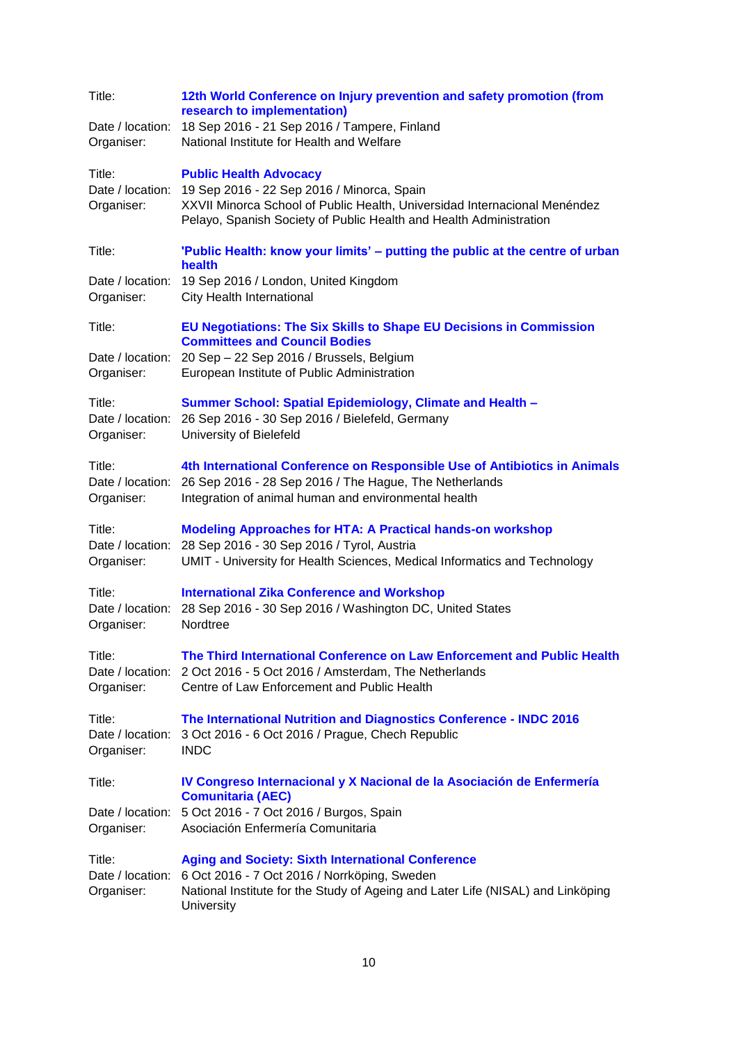| Title:               | 12th World Conference on Injury prevention and safety promotion (from<br>research to implementation)                                                                                                                       |
|----------------------|----------------------------------------------------------------------------------------------------------------------------------------------------------------------------------------------------------------------------|
| Date / location:     | 18 Sep 2016 - 21 Sep 2016 / Tampere, Finland                                                                                                                                                                               |
| Organiser:           | National Institute for Health and Welfare                                                                                                                                                                                  |
| Title:               | <b>Public Health Advocacy</b>                                                                                                                                                                                              |
| Date / location:     | 19 Sep 2016 - 22 Sep 2016 / Minorca, Spain                                                                                                                                                                                 |
| Organiser:           | XXVII Minorca School of Public Health, Universidad Internacional Menéndez<br>Pelayo, Spanish Society of Public Health and Health Administration                                                                            |
| Title:               | 'Public Health: know your limits' – putting the public at the centre of urban<br>health                                                                                                                                    |
| Date / location:     | 19 Sep 2016 / London, United Kingdom                                                                                                                                                                                       |
| Organiser:           | City Health International                                                                                                                                                                                                  |
| Title:               | EU Negotiations: The Six Skills to Shape EU Decisions in Commission<br><b>Committees and Council Bodies</b>                                                                                                                |
| Date / location:     | 20 Sep - 22 Sep 2016 / Brussels, Belgium                                                                                                                                                                                   |
| Organiser:           | European Institute of Public Administration                                                                                                                                                                                |
| Title:               | Summer School: Spatial Epidemiology, Climate and Health -                                                                                                                                                                  |
| Date / location:     | 26 Sep 2016 - 30 Sep 2016 / Bielefeld, Germany                                                                                                                                                                             |
| Organiser:           | University of Bielefeld                                                                                                                                                                                                    |
| Title:<br>Organiser: | 4th International Conference on Responsible Use of Antibiotics in Animals<br>Date / location: 26 Sep 2016 - 28 Sep 2016 / The Hague, The Netherlands<br>Integration of animal human and environmental health               |
| Title:               | <b>Modeling Approaches for HTA: A Practical hands-on workshop</b>                                                                                                                                                          |
| Date / location:     | 28 Sep 2016 - 30 Sep 2016 / Tyrol, Austria                                                                                                                                                                                 |
| Organiser:           | UMIT - University for Health Sciences, Medical Informatics and Technology                                                                                                                                                  |
| Title:               | <b>International Zika Conference and Workshop</b>                                                                                                                                                                          |
| Date / location:     | 28 Sep 2016 - 30 Sep 2016 / Washington DC, United States                                                                                                                                                                   |
| Organiser:           | Nordtree                                                                                                                                                                                                                   |
| Title:<br>Organiser: | The Third International Conference on Law Enforcement and Public Health<br>Date / location: 2 Oct 2016 - 5 Oct 2016 / Amsterdam, The Netherlands<br>Centre of Law Enforcement and Public Health                            |
| Title:               | The International Nutrition and Diagnostics Conference - INDC 2016                                                                                                                                                         |
| Date / location:     | 3 Oct 2016 - 6 Oct 2016 / Prague, Chech Republic                                                                                                                                                                           |
| Organiser:           | <b>INDC</b>                                                                                                                                                                                                                |
| Title:               | IV Congreso Internacional y X Nacional de la Asociación de Enfermería<br><b>Comunitaria (AEC)</b>                                                                                                                          |
| Date / location:     | 5 Oct 2016 - 7 Oct 2016 / Burgos, Spain                                                                                                                                                                                    |
| Organiser:           | Asociación Enfermería Comunitaria                                                                                                                                                                                          |
| Title:<br>Organiser: | <b>Aging and Society: Sixth International Conference</b><br>Date / location: 6 Oct 2016 - 7 Oct 2016 / Norrköping, Sweden<br>National Institute for the Study of Ageing and Later Life (NISAL) and Linköping<br>University |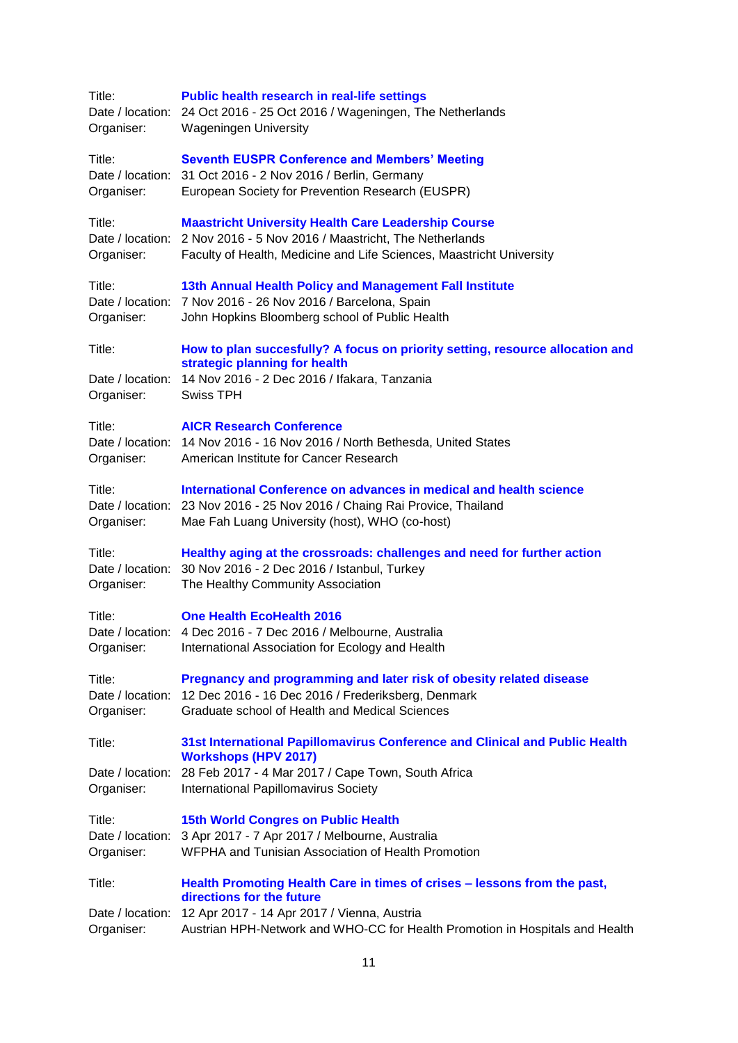| Title:<br>Organiser:                     | <b>Public health research in real-life settings</b><br>Date / location: 24 Oct 2016 - 25 Oct 2016 / Wageningen, The Netherlands<br><b>Wageningen University</b>                                              |
|------------------------------------------|--------------------------------------------------------------------------------------------------------------------------------------------------------------------------------------------------------------|
| Title:<br>Organiser:                     | <b>Seventh EUSPR Conference and Members' Meeting</b><br>Date / location: 31 Oct 2016 - 2 Nov 2016 / Berlin, Germany<br>European Society for Prevention Research (EUSPR)                                      |
| Title:<br>Organiser:                     | <b>Maastricht University Health Care Leadership Course</b><br>Date / location: 2 Nov 2016 - 5 Nov 2016 / Maastricht, The Netherlands<br>Faculty of Health, Medicine and Life Sciences, Maastricht University |
| Title:<br>Organiser:                     | 13th Annual Health Policy and Management Fall Institute<br>Date / location: 7 Nov 2016 - 26 Nov 2016 / Barcelona, Spain<br>John Hopkins Bloomberg school of Public Health                                    |
| Title:<br>Organiser:                     | How to plan succesfully? A focus on priority setting, resource allocation and<br>strategic planning for health<br>Date / location: 14 Nov 2016 - 2 Dec 2016 / Ifakara, Tanzania<br><b>Swiss TPH</b>          |
| Title:<br>Organiser:                     | <b>AICR Research Conference</b><br>Date / location: 14 Nov 2016 - 16 Nov 2016 / North Bethesda, United States<br>American Institute for Cancer Research                                                      |
| Title:<br>Organiser:                     | International Conference on advances in medical and health science<br>Date / location: 23 Nov 2016 - 25 Nov 2016 / Chaing Rai Provice, Thailand<br>Mae Fah Luang University (host), WHO (co-host)            |
| Title:<br>Organiser:                     | Healthy aging at the crossroads: challenges and need for further action<br>Date / location: 30 Nov 2016 - 2 Dec 2016 / Istanbul, Turkey<br>The Healthy Community Association                                 |
| Title:<br>Organiser:                     | <b>One Health EcoHealth 2016</b><br>Date / location: 4 Dec 2016 - 7 Dec 2016 / Melbourne, Australia<br>International Association for Ecology and Health                                                      |
| Title:<br>Organiser:                     | Pregnancy and programming and later risk of obesity related disease<br>Date / location: 12 Dec 2016 - 16 Dec 2016 / Frederiksberg, Denmark<br>Graduate school of Health and Medical Sciences                 |
| Title:                                   | 31st International Papillomavirus Conference and Clinical and Public Health<br><b>Workshops (HPV 2017)</b>                                                                                                   |
| Date / location:<br>Organiser:           | 28 Feb 2017 - 4 Mar 2017 / Cape Town, South Africa<br>International Papillomavirus Society                                                                                                                   |
| Title:<br>Date / location:<br>Organiser: | <b>15th World Congres on Public Health</b><br>3 Apr 2017 - 7 Apr 2017 / Melbourne, Australia<br>WFPHA and Tunisian Association of Health Promotion                                                           |
| Title:                                   | Health Promoting Health Care in times of crises - lessons from the past,<br>directions for the future                                                                                                        |
| Date / location:<br>Organiser:           | 12 Apr 2017 - 14 Apr 2017 / Vienna, Austria<br>Austrian HPH-Network and WHO-CC for Health Promotion in Hospitals and Health                                                                                  |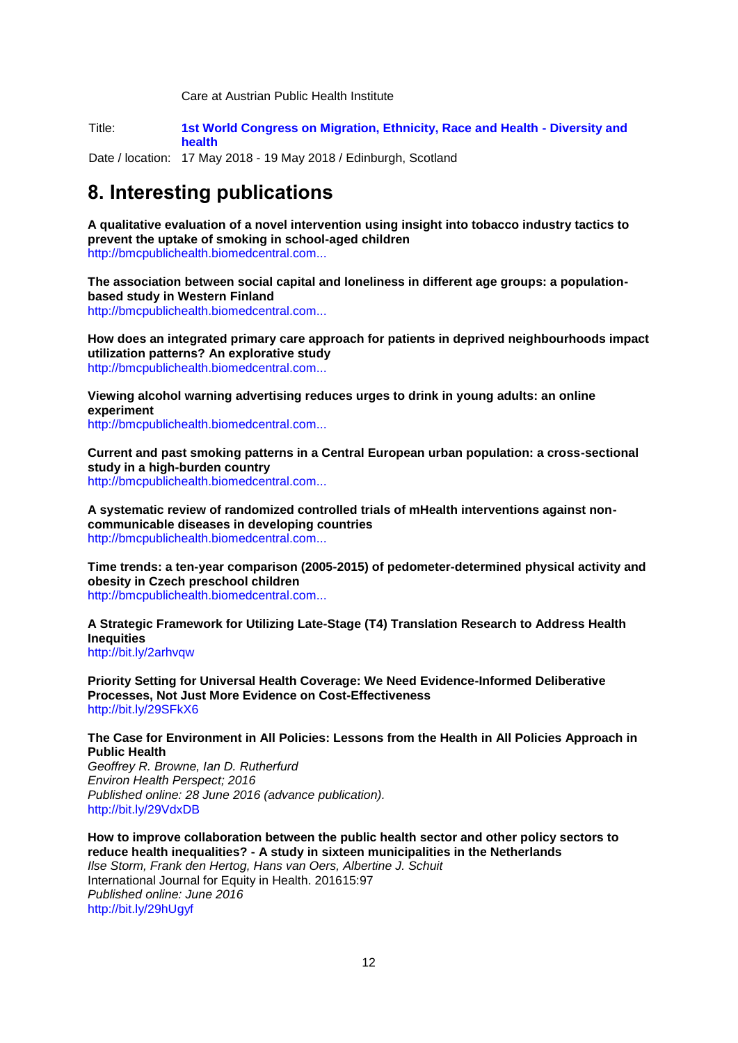Care at Austrian Public Health Institute

Title: **[1st World Congress on Migration, Ethnicity, Race and Health -](http://www.merhcongress.com/) Diversity and [health](http://www.merhcongress.com/)**

Date / location: 17 May 2018 - 19 May 2018 / Edinburgh, Scotland

## <span id="page-11-0"></span>**8. Interesting publications**

**A qualitative evaluation of a novel intervention using insight into tobacco industry tactics to prevent the uptake of smoking in school-aged children** [http://bmcpublichealth.biomedcentral.com...](http://bmcpublichealth.biomedcentral.com/articles/10.1186/s12889-016-3205-8)

**The association between social capital and loneliness in different age groups: a populationbased study in Western Finland**

[http://bmcpublichealth.biomedcentral.com...](http://bmcpublichealth.biomedcentral.com/articles/10.1186/s12889-016-3248-x)

**How does an integrated primary care approach for patients in deprived neighbourhoods impact utilization patterns? An explorative study** [http://bmcpublichealth.biomedcentral.com...](http://bmcpublichealth.biomedcentral.com/articles/10.1186/s12889-016-3246-z)

**Viewing alcohol warning advertising reduces urges to drink in young adults: an online experiment**

[http://bmcpublichealth.biomedcentral.com...](http://bmcpublichealth.biomedcentral.com/articles/10.1186/s12889-016-3192-9)

**Current and past smoking patterns in a Central European urban population: a cross-sectional study in a high-burden country** [http://bmcpublichealth.biomedcentral.com...](http://bmcpublichealth.biomedcentral.com/articles/10.1186/s12889-016-3216-5)

**A systematic review of randomized controlled trials of mHealth interventions against noncommunicable diseases in developing countries** [http://bmcpublichealth.biomedcentral.com...](http://bmcpublichealth.biomedcentral.com/articles/10.1186/s12889-016-3226-3)

**Time trends: a ten-year comparison (2005-2015) of pedometer-determined physical activity and obesity in Czech preschool children** [http://bmcpublichealth.biomedcentral.com...](http://bmcpublichealth.biomedcentral.com/articles/10.1186/s12889-016-3269-5)

**A Strategic Framework for Utilizing Late-Stage (T4) Translation Research to Address Health Inequities**  <http://bit.ly/2arhvqw>

**Priority Setting for Universal Health Coverage: We Need Evidence-Informed Deliberative Processes, Not Just More Evidence on Cost-Effectiveness** <http://bit.ly/29SFkX6>

**The Case for Environment in All Policies: Lessons from the Health in All Policies Approach in Public Health**

*Geoffrey R. Browne, Ian D. Rutherfurd Environ Health Perspect; 2016 Published online: 28 June 2016 (advance publication).* <http://bit.ly/29VdxDB>

**How to improve collaboration between the public health sector and other policy sectors to reduce health inequalities? - A study in sixteen municipalities in the Netherlands** *Ilse Storm, Frank den Hertog, Hans van Oers, Albertine J. Schuit* International Journal for Equity in Health. 201615:97 *Published online: June 2016* <http://bit.ly/29hUgyf>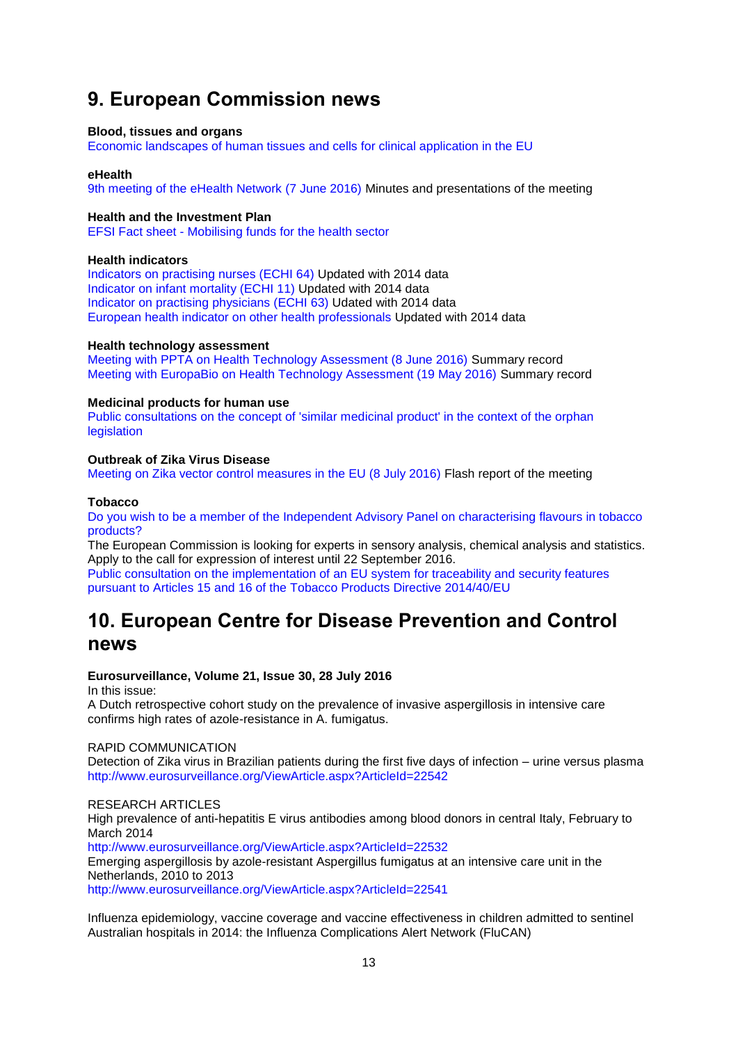## <span id="page-12-0"></span>**9. European Commission news**

#### **Blood, tissues and organs**

[Economic landscapes of human tissues and cells for clinical application in the EU](http://ec.europa.eu/health/blood_tissues_organs/docs/economiclandscapes_humantissuescells_en.pdf)

#### **eHealth**

[9th meeting of the eHealth Network \(7 June 2016\)](http://ec.europa.eu/health/ehealth/events/ev_20160607_en.htm) Minutes and presentations of the meeting

#### **Health and the Investment Plan**

EFSI Fact sheet - [Mobilising funds for the health sector](http://ec.europa.eu/health/investment_plan/docs/2016_funds_healthsector_en.pdf)

#### **Health indicators**

[Indicators on practising nurses \(ECHI 64\)](http://ec.europa.eu/health/indicators/echi/list/index_en.htm#id4) Updated with 2014 data [Indicator on infant mortality \(ECHI 11\)](http://ec.europa.eu/health/indicators/echi/list/index_en.htm#id2) Updated with 2014 data [Indicator on practising](http://ec.europa.eu/health/indicators/echi/list/index_en.htm#id4) physicians (ECHI 63) Udated with 2014 data [European health indicator on other health professionals](http://ec.europa.eu/health/indicators/echi/list/index_en.htm#id4) Updated with 2014 data

#### **Health technology assessment**

[Meeting with PPTA on Health Technology Assessment \(8 June 2016\)](http://ec.europa.eu/health/technology_assessment/docs/ev_20160608_mi_en.pdf) Summary record [Meeting with EuropaBio on Health Technology Assessment \(19 May 2016\)](http://ec.europa.eu/health/technology_assessment/docs/ev_20160519_mi_en.pdf) Summary record

#### **Medicinal products for human use**

[Public consultations on the concept of 'similar medicinal product' in the context of the orphan](http://ec.europa.eu/health/human-use/orphan-medicines/developments/index_en.htm)  **[legislation](http://ec.europa.eu/health/human-use/orphan-medicines/developments/index_en.htm)** 

#### **Outbreak of Zika Virus Disease**

[Meeting on Zika vector control measures in the EU \(8 July 2016\)](http://ec.europa.eu/health/preparedness_response/docs/zika_ev_20160708_flash_en.pdf) Flash report of the meeting

#### **Tobacco**

[Do you wish to be a member of the Independent Advisory Panel on characterising flavours in tobacco](http://ec.europa.eu/health/tobacco/products/implementation/characterising_flavours_en.htm)  [products?](http://ec.europa.eu/health/tobacco/products/implementation/characterising_flavours_en.htm)

The European Commission is looking for experts in sensory analysis, chemical analysis and statistics. Apply to the call for expression of interest until 22 September 2016.

[Public consultation on the implementation of an EU system for traceability and security features](http://ec.europa.eu/health/tobacco/consultations/2016_traceability_security_features_en.htm)  [pursuant to Articles 15 and 16 of the Tobacco Products Directive 2014/40/EU](http://ec.europa.eu/health/tobacco/consultations/2016_traceability_security_features_en.htm)

## <span id="page-12-1"></span>**10. European Centre for Disease Prevention and Control news**

#### **Eurosurveillance, Volume 21, Issue 30, 28 July 2016**

In this issue:

A Dutch retrospective cohort study on the prevalence of invasive aspergillosis in intensive care confirms high rates of azole-resistance in A. fumigatus.

#### RAPID COMMUNICATION

Detection of Zika virus in Brazilian patients during the first five days of infection – urine versus plasma <http://www.eurosurveillance.org/ViewArticle.aspx?ArticleId=22542>

#### RESEARCH ARTICLES

High prevalence of anti-hepatitis E virus antibodies among blood donors in central Italy, February to March 2014

<http://www.eurosurveillance.org/ViewArticle.aspx?ArticleId=22532>

Emerging aspergillosis by azole-resistant Aspergillus fumigatus at an intensive care unit in the Netherlands, 2010 to 2013

<http://www.eurosurveillance.org/ViewArticle.aspx?ArticleId=22541>

Influenza epidemiology, vaccine coverage and vaccine effectiveness in children admitted to sentinel Australian hospitals in 2014: the Influenza Complications Alert Network (FluCAN)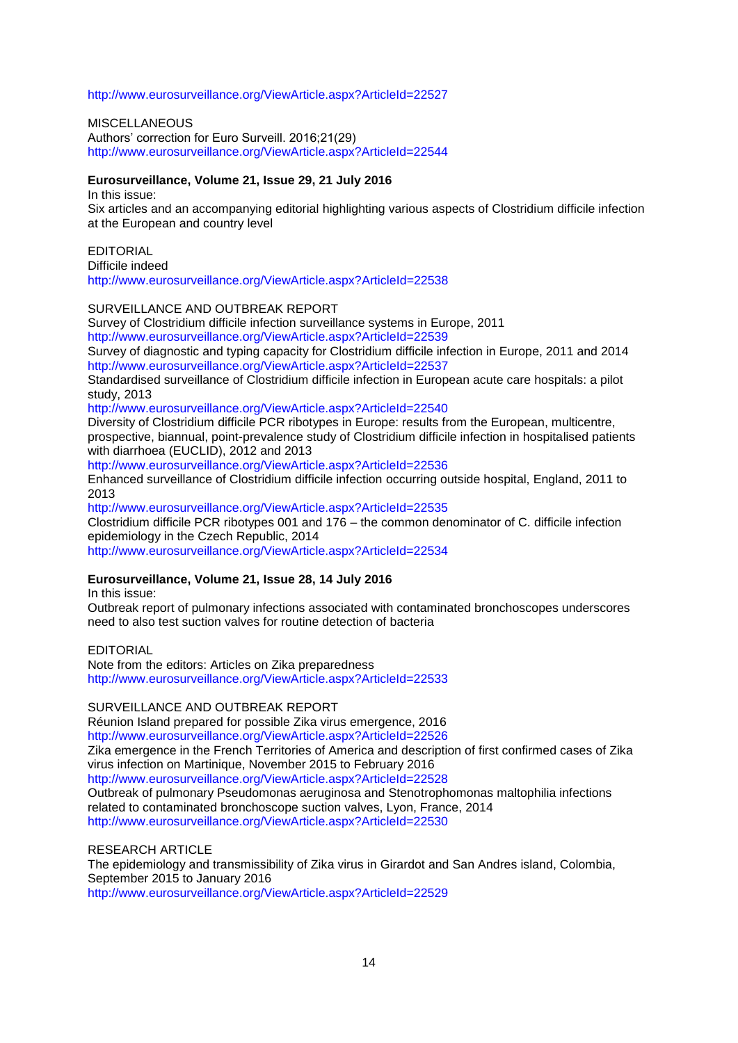<http://www.eurosurveillance.org/ViewArticle.aspx?ArticleId=22527>

**MISCELLANEOUS** Authors' correction for Euro Surveill. 2016;21(29) <http://www.eurosurveillance.org/ViewArticle.aspx?ArticleId=22544>

#### **Eurosurveillance, Volume 21, Issue 29, 21 July 2016**

In this issue: Six articles and an accompanying editorial highlighting various aspects of Clostridium difficile infection at the European and country level

#### EDITORIAL

Difficile indeed <http://www.eurosurveillance.org/ViewArticle.aspx?ArticleId=22538>

### SURVEILLANCE AND OUTBREAK REPORT

Survey of Clostridium difficile infection surveillance systems in Europe, 2011 <http://www.eurosurveillance.org/ViewArticle.aspx?ArticleId=22539>

Survey of diagnostic and typing capacity for Clostridium difficile infection in Europe, 2011 and 2014 <http://www.eurosurveillance.org/ViewArticle.aspx?ArticleId=22537>

Standardised surveillance of Clostridium difficile infection in European acute care hospitals: a pilot study, 2013

<http://www.eurosurveillance.org/ViewArticle.aspx?ArticleId=22540>

Diversity of Clostridium difficile PCR ribotypes in Europe: results from the European, multicentre, prospective, biannual, point-prevalence study of Clostridium difficile infection in hospitalised patients with diarrhoea (EUCLID), 2012 and 2013

<http://www.eurosurveillance.org/ViewArticle.aspx?ArticleId=22536>

Enhanced surveillance of Clostridium difficile infection occurring outside hospital, England, 2011 to 2013

<http://www.eurosurveillance.org/ViewArticle.aspx?ArticleId=22535>

Clostridium difficile PCR ribotypes 001 and 176 – the common denominator of C. difficile infection epidemiology in the Czech Republic, 2014

<http://www.eurosurveillance.org/ViewArticle.aspx?ArticleId=22534>

## **Eurosurveillance, Volume 21, Issue 28, 14 July 2016**

In this issue:

Outbreak report of pulmonary infections associated with contaminated bronchoscopes underscores need to also test suction valves for routine detection of bacteria

#### EDITORIAL

Note from the editors: Articles on Zika preparedness <http://www.eurosurveillance.org/ViewArticle.aspx?ArticleId=22533>

#### SURVEILLANCE AND OUTBREAK REPORT

Réunion Island prepared for possible Zika virus emergence, 2016 <http://www.eurosurveillance.org/ViewArticle.aspx?ArticleId=22526> Zika emergence in the French Territories of America and description of first confirmed cases of Zika virus infection on Martinique, November 2015 to February 2016 <http://www.eurosurveillance.org/ViewArticle.aspx?ArticleId=22528> Outbreak of pulmonary Pseudomonas aeruginosa and Stenotrophomonas maltophilia infections related to contaminated bronchoscope suction valves, Lyon, France, 2014 <http://www.eurosurveillance.org/ViewArticle.aspx?ArticleId=22530>

RESEARCH ARTICLE

The epidemiology and transmissibility of Zika virus in Girardot and San Andres island, Colombia, September 2015 to January 2016 <http://www.eurosurveillance.org/ViewArticle.aspx?ArticleId=22529>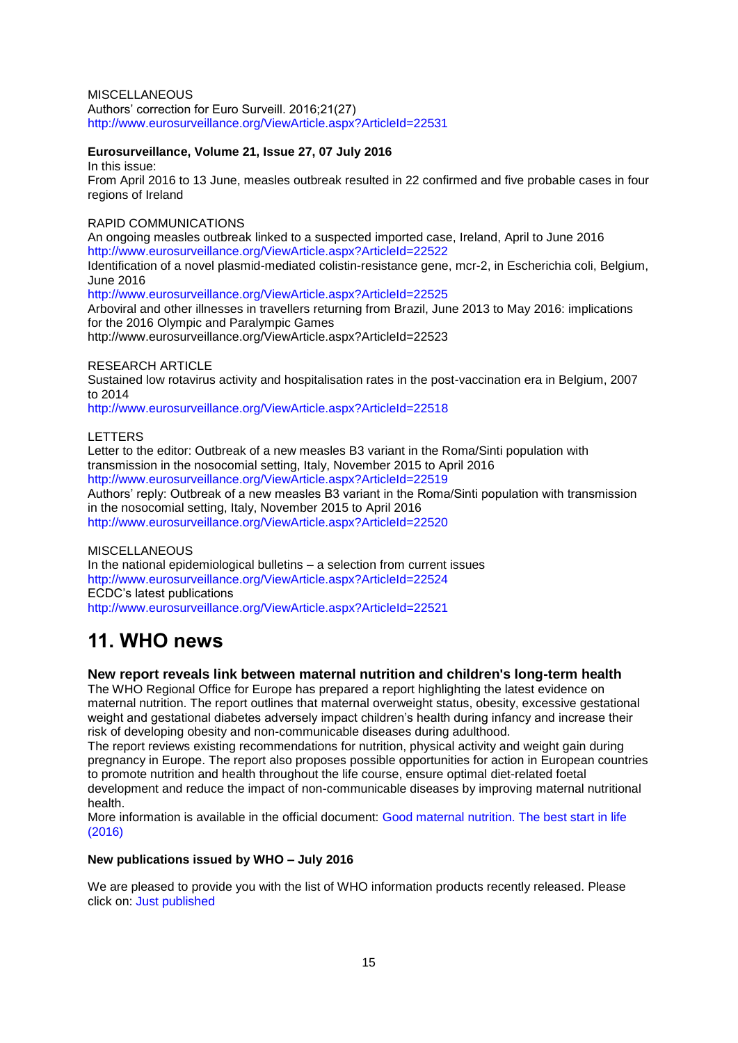MISCELLANEOUS Authors' correction for Euro Surveill. 2016;21(27) <http://www.eurosurveillance.org/ViewArticle.aspx?ArticleId=22531>

### **Eurosurveillance, Volume 21, Issue 27, 07 July 2016**

In this issue:

From April 2016 to 13 June, measles outbreak resulted in 22 confirmed and five probable cases in four regions of Ireland

## RAPID COMMUNICATIONS

An ongoing measles outbreak linked to a suspected imported case, Ireland, April to June 2016 <http://www.eurosurveillance.org/ViewArticle.aspx?ArticleId=22522>

Identification of a novel plasmid-mediated colistin-resistance gene, mcr-2, in Escherichia coli, Belgium, June 2016

<http://www.eurosurveillance.org/ViewArticle.aspx?ArticleId=22525>

Arboviral and other illnesses in travellers returning from Brazil, June 2013 to May 2016: implications for the 2016 Olympic and Paralympic Games

<http://www.eurosurveillance.org/ViewArticle.aspx?ArticleId=22523>

### RESEARCH ARTICLE

Sustained low rotavirus activity and hospitalisation rates in the post-vaccination era in Belgium, 2007 to 2014

<http://www.eurosurveillance.org/ViewArticle.aspx?ArticleId=22518>

LETTERS

Letter to the editor: Outbreak of a new measles B3 variant in the Roma/Sinti population with transmission in the nosocomial setting, Italy, November 2015 to April 2016 <http://www.eurosurveillance.org/ViewArticle.aspx?ArticleId=22519> Authors' reply: Outbreak of a new measles B3 variant in the Roma/Sinti population with transmission in the nosocomial setting, Italy, November 2015 to April 2016 <http://www.eurosurveillance.org/ViewArticle.aspx?ArticleId=22520>

**MISCELLANEOUS** In the national epidemiological bulletins – a selection from current issues <http://www.eurosurveillance.org/ViewArticle.aspx?ArticleId=22524> ECDC's latest publications

<http://www.eurosurveillance.org/ViewArticle.aspx?ArticleId=22521>

# <span id="page-14-0"></span>**11. WHO news**

## <span id="page-14-1"></span>**New report reveals link between maternal nutrition and children's long-term health**

The WHO Regional Office for Europe has prepared a report highlighting the latest evidence on maternal nutrition. The report outlines that maternal overweight status, obesity, excessive gestational weight and gestational diabetes adversely impact children's health during infancy and increase their risk of developing obesity and non-communicable diseases during adulthood.

The report reviews existing recommendations for nutrition, physical activity and weight gain during pregnancy in Europe. The report also proposes possible opportunities for action in European countries to promote nutrition and health throughout the life course, ensure optimal diet-related foetal development and reduce the impact of non-communicable diseases by improving maternal nutritional health.

More information is available in the official document: [Good maternal nutrition. The best start in life](http://www.euro.who.int/en/health-topics/Life-stages/maternal-and-newborn-health/news/news/2016/06/new-report-calls-for-improved-maternal-nutrition-to-decrease-childrens-long-term-risk-of-noncommunicable-diseases-ncds-and-obesity)  [\(2016\)](http://www.euro.who.int/en/health-topics/Life-stages/maternal-and-newborn-health/news/news/2016/06/new-report-calls-for-improved-maternal-nutrition-to-decrease-childrens-long-term-risk-of-noncommunicable-diseases-ncds-and-obesity)

#### **New publications issued by WHO – July 2016**

We are pleased to provide you with the list of WHO information products recently released. Please click on: [Just published](http://www.who.int/bookorders/anglais/newpublications1.jsp?sesslan=1)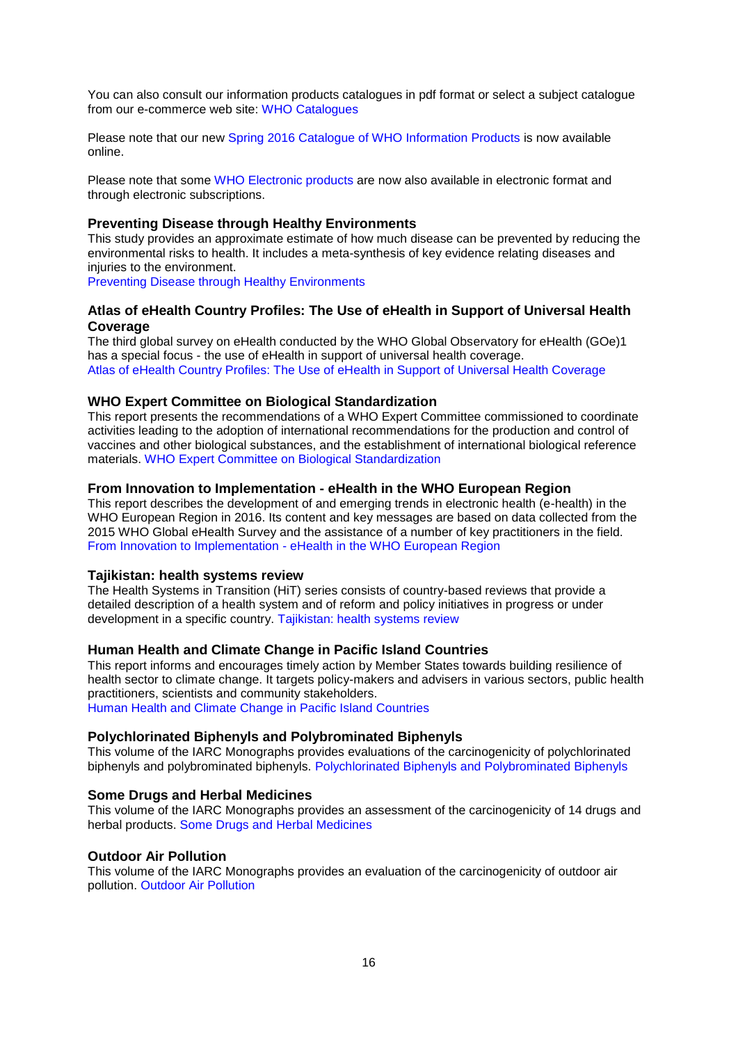You can also consult our information products catalogues in pdf format or select a subject catalogue from our e-commerce web site: [WHO Catalogues](http://www.who.int/bookorders/anglais/catalog1.jsp?sesslan=1) 

Please note that our new [Spring 2016 Catalogue of WHO Information Products](http://apps.who.int/bookorders/MDIbookPDF/Catalogue/CatalogueSpring2016.pdf) is now available online.

Please note that some [WHO Electronic products](http://apps.who.int/bookorders/anglais/ElectroProd1.jsp) are now also available in electronic format and through electronic subscriptions.

#### <span id="page-15-0"></span>**Preventing Disease through Healthy Environments**

This study provides an approximate estimate of how much disease can be prevented by reducing the environmental risks to health. It includes a meta-synthesis of key evidence relating diseases and injuries to the environment.

[Preventing Disease through Healthy Environments](http://apps.who.int/bookorders/anglais/detart1.jsp?codlan=1&codcol=15&codcch=2680)

### <span id="page-15-1"></span>**[Atlas of eHealth Country Profiles: The Use of eHealth in Support of Universal Health](http://apps.who.int/bookorders/anglais/detart1.jsp?codlan=1&codcol=93&codcch=3280)  [Coverage](http://apps.who.int/bookorders/anglais/detart1.jsp?codlan=1&codcol=93&codcch=3280)**

The third global survey on eHealth conducted by the WHO Global Observatory for eHealth (GOe)1 has a special focus - the use of eHealth in support of universal health coverage. [Atlas of eHealth Country Profiles: The Use of eHealth in Support of Universal Health Coverage](http://apps.who.int/bookorders/anglais/detart1.jsp?codlan=1&codcol=93&codcch=3280)

### <span id="page-15-2"></span>**[WHO Expert Committee on Biological Standardization](http://apps.who.int/bookorders/anglais/detart1.jsp?codlan=1&codcol=10&codcch=999)**

This report presents the recommendations of a WHO Expert Committee commissioned to coordinate activities leading to the adoption of international recommendations for the production and control of vaccines and other biological substances, and the establishment of international biological reference materials. [WHO Expert Committee on Biological Standardization](http://apps.who.int/bookorders/anglais/detart1.jsp?codlan=1&codcol=10&codcch=999)

#### <span id="page-15-3"></span>**From Innovation to Implementation - [eHealth in the WHO European Region](http://apps.who.int/bookorders/anglais/detart1.jsp?codlan=1&codcol=34&codcch=171)**

This report describes the development of and emerging trends in electronic health (e-health) in the WHO European Region in 2016. Its content and key messages are based on data collected from the 2015 WHO Global eHealth Survey and the assistance of a number of key practitioners in the field. From Innovation to Implementation - [eHealth in the WHO European Region](http://apps.who.int/bookorders/anglais/detart1.jsp?codlan=1&codcol=34&codcch=171)

## <span id="page-15-4"></span>**[Tajikistan: health systems review](http://apps.who.int/bookorders/anglais/detart1.jsp?codlan=1&codcol=36&codcch=1801)**

The Health Systems in Transition (HiT) series consists of country-based reviews that provide a detailed description of a health system and of reform and policy initiatives in progress or under development in a specific country. [Tajikistan: health systems review](http://apps.who.int/bookorders/anglais/detart1.jsp?codlan=1&codcol=36&codcch=1801)

#### <span id="page-15-5"></span>**[Human Health and Climate Change in Pacific Island Countries](http://apps.who.int/bookorders/anglais/detart1.jsp?codlan=1&codcol=52&codcch=248)**

This report informs and encourages timely action by Member States towards building resilience of health sector to climate change. It targets policy-makers and advisers in various sectors, public health practitioners, scientists and community stakeholders. [Human Health and Climate Change in Pacific Island Countries](http://apps.who.int/bookorders/anglais/detart1.jsp?codlan=1&codcol=52&codcch=248)

## <span id="page-15-6"></span>**[Polychlorinated Biphenyls and Polybrominated Biphenyls](http://apps.who.int/bookorders/anglais/detart1.jsp?codlan=1&codcol=72&codcch=107)**

This volume of the IARC Monographs provides evaluations of the carcinogenicity of polychlorinated biphenyls and polybrominated biphenyls. [Polychlorinated Biphenyls and Polybrominated Biphenyls](http://apps.who.int/bookorders/anglais/detart1.jsp?codlan=1&codcol=72&codcch=107)

#### <span id="page-15-7"></span>**[Some Drugs and Herbal Medicines](http://apps.who.int/bookorders/anglais/detart1.jsp?codlan=1&codcol=72&codcch=108)**

This volume of the IARC Monographs provides an assessment of the carcinogenicity of 14 drugs and herbal products. [Some Drugs and Herbal Medicines](http://apps.who.int/bookorders/anglais/detart1.jsp?codlan=1&codcol=72&codcch=108)

#### <span id="page-15-8"></span>**Outdoor [Air Pollution](http://apps.who.int/bookorders/anglais/detart1.jsp?codlan=1&codcol=72&codcch=109)**

This volume of the IARC Monographs provides an evaluation of the carcinogenicity of outdoor air pollution. [Outdoor Air Pollution](http://apps.who.int/bookorders/anglais/detart1.jsp?codlan=1&codcol=72&codcch=109)